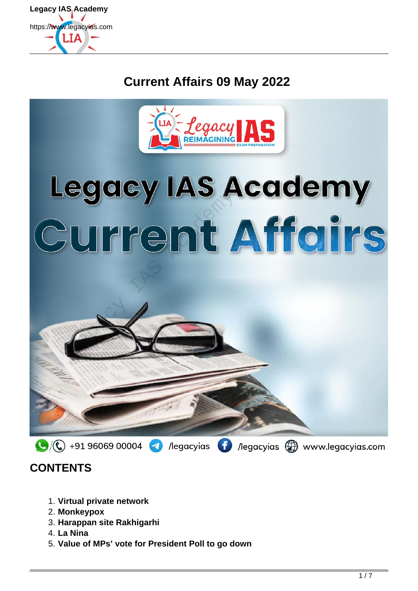

## **Current Affairs 09 May 2022**



# Legacy IAS Academy<br>Current Affairs



## **CONTENTS**

- 1. **Virtual private network**
- 2. **Monkeypox**
- 3. **Harappan site Rakhigarhi**
- 4. **La Nina**
- 5. **Value of MPs' vote for President Poll to go down**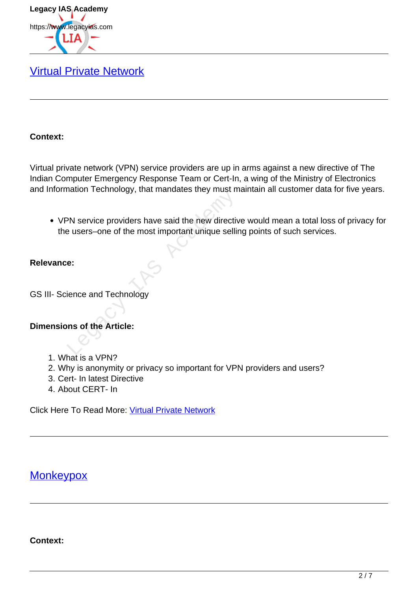

## [Virtual Private Network](https://www.legacyias.com/what-is-virtual-private-network/)

#### **Context:**

Virtual private network (VPN) service providers are up in arms against a new directive of The Indian Computer Emergency Response Team or Cert-In, a wing of the Ministry of Electronics and Information Technology, that mandates they must maintain all customer data for five years.

VPN service providers have said the new directive would mean a total loss of privacy for the users–one of the most important unique selling points of such services. PN service providers have said the new directive<br>a users-one of the most important unique selline:<br>e:<br>ience and Technology<br>ms of the Article:

#### **Relevance:**

GS III- Science and Technology

#### **Dimensions of the Article:**

- 1. What is a VPN?
- 2. Why is anonymity or privacy so important for VPN providers and users?
- 3. Cert- In latest Directive
- 4. About CERT- In

Click Here To Read More: Virtual Private Network

### **Monkeypox**

**Context:**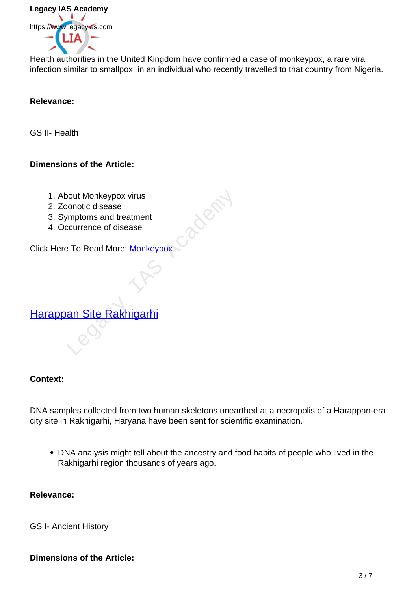

Health authorities in the United Kingdom have confirmed a case of monkeypox, a rare viral infection similar to smallpox, in an individual who recently travelled to that country from Nigeria.

#### **Relevance:**

GS II- Health

#### **Dimensions of the Article:**

- 1. About Monkeypox virus
- 2. Zoonotic disease
- 3. Symptoms and treatment
- 4. Occurrence of disease

Click Here To Read More: Monkeypox

## Harappan Site Rakhigarhi New Monkeypox virus<br>
conotic disease<br>
"IT are ad More: Monkeypox<br>
To Read More: Monkeypox<br>
The Rakhigarhi<br>
The Rakhigarhi<br>
Consider the Rakhigarhi<br>
Consider the Rakhigarhi<br>
Consider the Rakhigarhi<br>
Consider the Rakhigarhi<br>

#### **Context:**

DNA samples collected from two human skeletons unearthed at a necropolis of a Harappan-era city site in Rakhigarhi, Haryana have been sent for scientific examination.

DNA analysis might tell about the ancestry and food habits of people who lived in the Rakhigarhi region thousands of years ago.

#### **Relevance:**

GS I- Ancient History

#### **Dimensions of the Article:**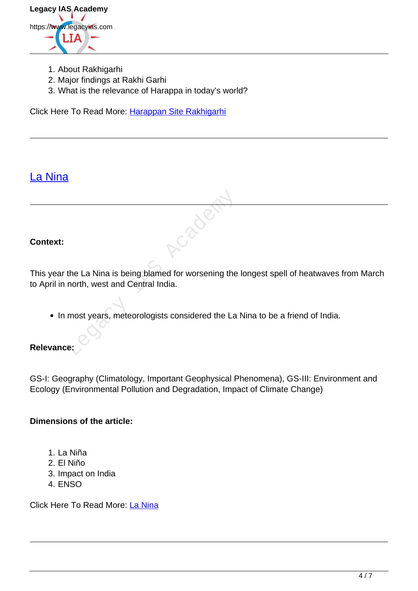

- 1. About Rakhigarhi
- 2. Major findings at Rakhi Garhi
- 3. What is the relevance of Harappa in today's world?

Click Here To Read More: Harappan Site Rakhigarhi

## La Nina

#### **Context:**

This year the La Nina is being blamed for worsening the longest spell of heatwaves from March to April in north, west and Central India. the La Nina is being blamed for worsening the<br>north, west and Central India.<br>most years, meteorologists considered the La<br>e:

• In most years, meteorologists considered the La Nina to be a friend of India.

#### **Relevance:**

GS-I: Geography (Climatology, Important Geophysical Phenomena), GS-III: Environment and Ecology (Environmental Pollution and Degradation, Impact of Climate Change)

#### **Dimensions of the article:**

- 1. La Niña
- 2. El Niño
- 3. Impact on India
- 4. ENSO

Click Here To Read More: La Nina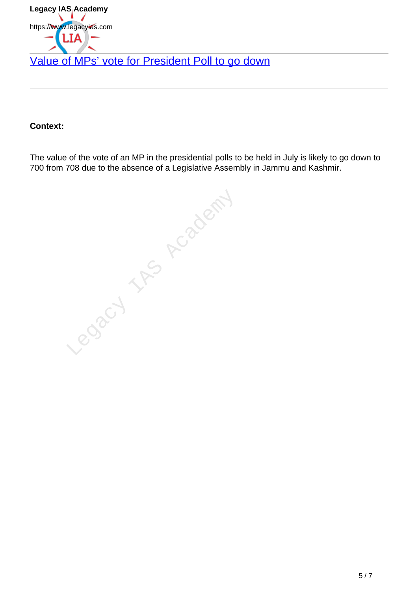

#### **Context:**

The value of the vote of an MP in the presidential polls to be held in July is likely to go down to 700 from 708 due to the absence of a Legislative Assembly in Jammu and Kashmir.

Legacy IAS Academy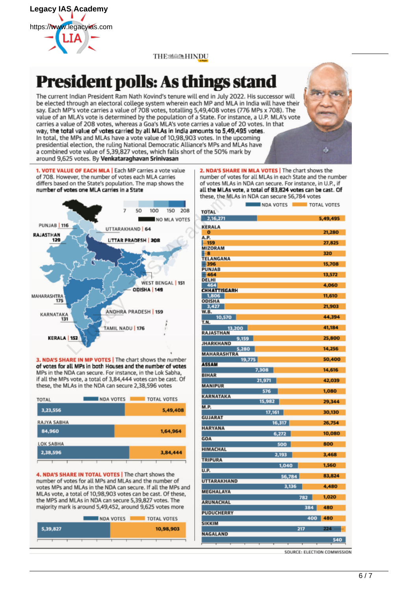

#### THE‱®HINDU

## **President polls: As things stand**

The current Indian President Ram Nath Kovind's tenure will end in July 2022. His successor will be elected through an electoral college system wherein each MP and MLA in India will have their say. Each MP's vote carries a value of 708 votes, totalling 5,49,408 votes (776 MPs x 708). The value of an MLA's vote is determined by the population of a State. For instance, a U.P. MLA's vote carries a value of 208 votes, whereas a Goa's MLA's vote carries a value of 20 votes. In that way, the total value of votes carried by all MLAs in India amounts to 5,49,495 votes. In total, the MPs and MLAs have a vote value of 10,98,903 votes. In the upcoming presidential election, the ruling National Democratic Alliance's MPs and MLAs have a combined vote value of 5,39,827 votes, which falls short of the 50% mark by around 9,625 votes. By Venkataraghavan Srinivasan

1. VOTE VALUE OF EACH MLA | Each MP carries a vote value of 708. However, the number of votes each MLA carries differs based on the State's population. The map shows the



of votes for all MPs in both Houses and the number of votes MPs in the NDA can secure. For instance, in the Lok Sabha, if all the MPs vote, a total of 3,84,444 votes can be cast. Of these, the MLAs in the NDA can secure 2,38,596 votes

| TOTAL       | <b>NDA VOTES</b> | <b>TOTAL VOTES</b> |
|-------------|------------------|--------------------|
| 3,23,556    |                  | 5,49,408           |
| RAJYA SABHA |                  |                    |
| 84,960      |                  | 1,64,964           |
| LOK SABHA   |                  |                    |
| 2,38,596    |                  | 3,84,444           |
|             |                  |                    |

4. NDA'S SHARE IN TOTAL VOTES | The chart shows the number of votes for all MPs and MLAs and the number of votes MPs and MLAs in the NDA can secure. If all the MPs and MLAs vote, a total of 10,98,903 votes can be cast. Of these, the MPS and MLAs in NDA can secure 5,39,827 votes. The majority mark is around 5,49,452, around 9,625 votes more

|          | <b>NDA VOTES</b> | <b>TOTAL VOTES</b> |
|----------|------------------|--------------------|
| 5,39,827 |                  | 10,98,903          |
|          |                  |                    |

2. NDA'S SHARE IN MLA VOTES | The chart shows the number of votes for all MLAs in each State and the number of votes MLAs in NDA can secure. For instance, in U.P., if

|                              | <b>NDA VOTES</b> |        |     | TOTAL VOTES |
|------------------------------|------------------|--------|-----|-------------|
| <b>TOTAL</b>                 |                  |        |     |             |
| 2,16,271                     |                  |        |     | 5,49,495    |
| <b>KERALA</b>                |                  |        |     |             |
| o                            |                  |        |     | 21,280      |
| A.P.                         |                  |        |     |             |
| -159                         |                  |        |     | 27,825      |
| <b>MIZORAM</b>               |                  |        |     |             |
| -8                           |                  |        |     | 320         |
| <b>TELANGANA</b><br>396<br>E |                  |        |     | 15,708      |
| <b>PUNJAB</b>                |                  |        |     |             |
| $-464$                       |                  |        |     | 13,572      |
| <b>DELHI</b>                 |                  |        |     |             |
| 464                          |                  |        |     | 4,060       |
| <b>CHHATTISGARH</b>          |                  |        |     |             |
| 1,806<br><b>ODISHA</b>       |                  |        |     | 11,610      |
| 3,427                        |                  |        |     | 21,903      |
| W.B.                         |                  |        |     |             |
| 10,570                       |                  |        |     | 44,394      |
| T.N.                         |                  |        |     |             |
| 13,200                       |                  |        |     | 41,184      |
| <b>RAJASTHAN</b><br>9,159    |                  |        |     | 25,800      |
| <b>JHARKHAND</b>             |                  |        |     |             |
| 5,280                        |                  |        |     | 14,256      |
| <b>MAHARASHTRA</b>           |                  |        |     |             |
| 19,775                       |                  |        |     | 50,400      |
| <b>ASSAM</b>                 |                  |        |     |             |
| <b>BIHAR</b>                 | 7,308            |        |     | 14,616      |
|                              | 21,971           |        |     | 42,039      |
| <b>MANIPUR</b>               |                  |        |     |             |
|                              | 576              |        |     | 1,080       |
| <b>KARNATAKA</b>             |                  |        |     |             |
| <b>M.P.</b>                  | 15,982           |        |     | 29,344      |
|                              | 17,161           |        |     | 30,130      |
| <b>GUJARAT</b>               |                  |        |     |             |
|                              |                  | 16,317 |     | 26,754      |
| <b>HARYANA</b>               |                  |        |     |             |
|                              |                  | 6,272  |     | 10,080      |
| <b>GOA</b>                   |                  |        |     | 800         |
| <b>HIMACHAL</b>              |                  | 500    |     |             |
|                              |                  | 2,193  |     | 3,468       |
| <b>TRIPURA</b>               |                  |        |     |             |
|                              |                  | 1,040  |     | 1,560       |
| U.P.                         |                  |        |     |             |
| <b>UTTARAKHAND</b>           |                  | 56,784 |     | 83,824      |
|                              |                  | 3,136  |     | 4,480       |
| <b>MEGHALAYA</b>             |                  |        |     |             |
|                              |                  |        | 782 | 1,020       |
| <b>ARUNACHAL</b>             |                  |        |     |             |
|                              |                  |        | 384 | 480         |
| <b>PUDUCHERRY</b>            |                  |        |     |             |
| <b>SIKKIM</b>                |                  |        | 400 | 480         |
|                              |                  |        | 217 | 224         |
| <b>NAGALAND</b>              |                  |        |     |             |
|                              |                  |        |     | 540         |
|                              |                  |        |     |             |

SOURCE: ELECTION COMMISSION